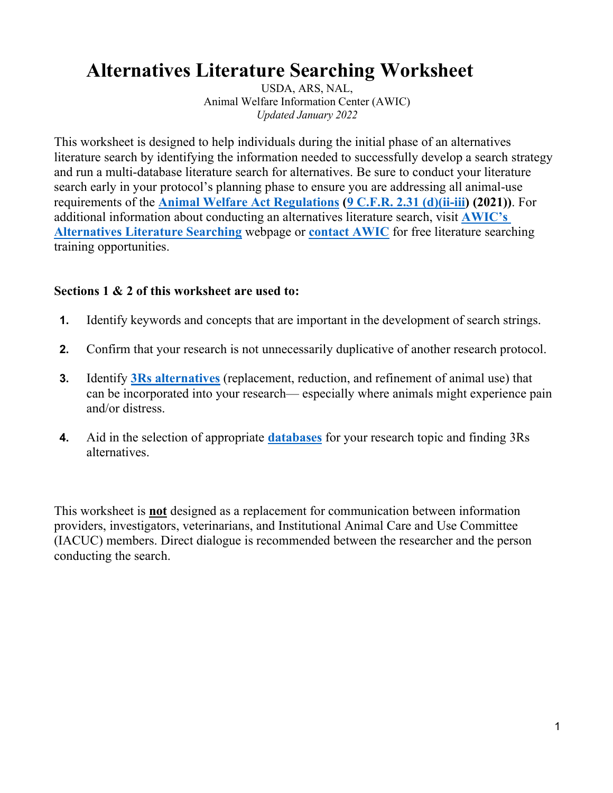# **Alternatives Literature Searching Worksheet**

USDA, ARS, NAL, Animal Welfare Information Center (AWIC) *Updated January 2022*

This worksheet is designed to help individuals during the initial phase of an alternatives literature search by identifying the information needed to successfully develop a search strategy and run a multi-database literature search for alternatives. Be sure to conduct your literature search early in your protocol's planning phase to ensure you are addressing all animal-use requirements of the **[Animal Welfare Act Regulations](https://www.ecfr.gov/current/title-9/chapter-I/subchapter-A) [\(9 C.F.R. 2.31 \(d\)\(ii-iii\)](https://www.ecfr.gov/current/title-9/chapter-I/subchapter-A/part-2/subpart-C/section-2.31#p-2.31(d)(1)(ii)) (2021))**. For additional information about conducting an alternatives literature search, visit **[AWIC's](https://www.nal.usda.gov/legacy/awic/alternatives-literature-searching)  [Alternatives Literature Searching](https://www.nal.usda.gov/legacy/awic/alternatives-literature-searching)** webpage or **[contact AWIC](https://www.nal.usda.gov/legacy/awic/contact-awic)** for free literature searching training opportunities.

## **Sections 1 & 2 of this worksheet are used to:**

- **1.** Identify keywords and concepts that are important in the development of search strings.
- **2.** Confirm that your research is not unnecessarily duplicative of another research protocol.
- **3.** Identify **[3Rs alternatives](https://www.nal.usda.gov/legacy/awic/3rs-alternatives-technologies-and-approaches)** (replacement, reduction, and refinement of animal use) that can be incorporated into your research— especially where animals might experience pain and/or distress.
- **4.** Aid in the selection of appropriate **[databases](https://www.nal.usda.gov/legacy/awic/databases)** for your research topic and finding 3Rs alternatives.

This worksheet is **not** designed as a replacement for communication between information providers, investigators, veterinarians, and Institutional Animal Care and Use Committee (IACUC) members. Direct dialogue is recommended between the researcher and the person conducting the search.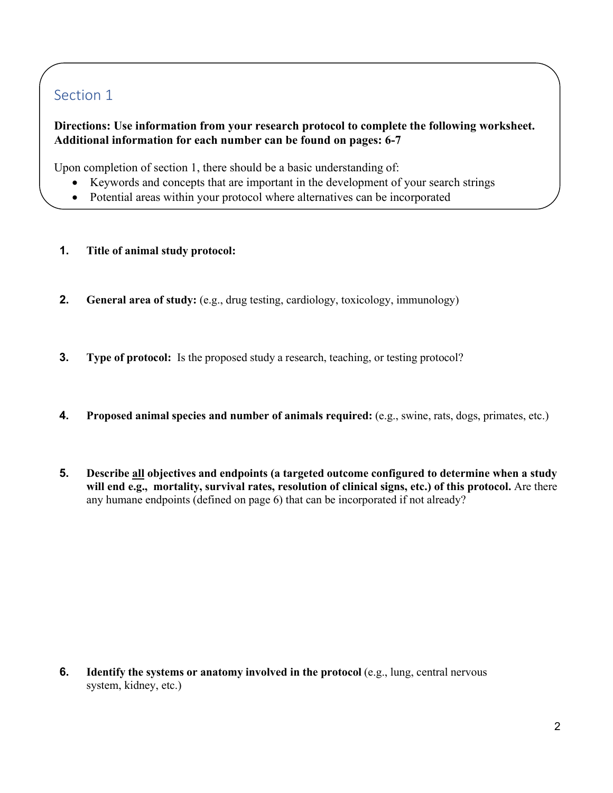# Section 1

## **Directions: Use information from your research protocol to complete the following worksheet. Additional information for each number can be found on pages: 6-7**

Upon completion of section 1, there should be a basic understanding of:

- Keywords and concepts that are important in the development of your search strings
- Potential areas within your protocol where alternatives can be incorporated
- **1. Title of animal study protocol:**
- **2. General area of study:** (e.g., drug testing, cardiology, toxicology, immunology)
- **3. Type of protocol:** Is the proposed study a research, teaching, or testing protocol?
- **4. Proposed animal species and number of animals required:** (e.g., swine, rats, dogs, primates, etc.)
- **5. Describe all objectives and endpoints (a targeted outcome configured to determine when a study will end e.g., mortality, survival rates, resolution of clinical signs, etc.) of this protocol.** Are there any humane endpoints (defined on page 6) that can be incorporated if not already?

**6. Identify the systems or anatomy involved in the protocol** (e.g., lung, central nervous system, kidney, etc.)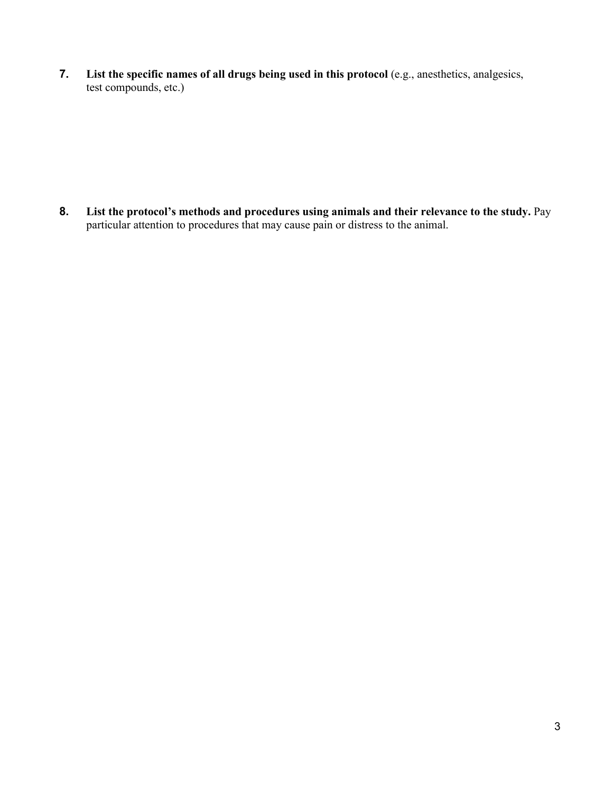**7. List the specific names of all drugs being used in this protocol** (e.g., anesthetics, analgesics, test compounds, etc.)

**8. List the protocol's methods and procedures using animals and their relevance to the study.** Pay particular attention to procedures that may cause pain or distress to the animal.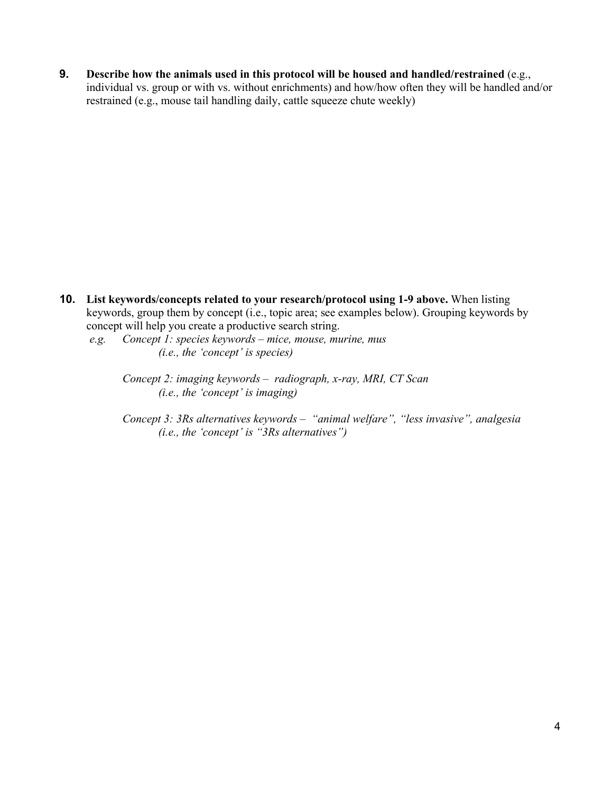**9. Describe how the animals used in this protocol will be housed and handled/restrained** (e.g., individual vs. group or with vs. without enrichments) and how/how often they will be handled and/or restrained (e.g., mouse tail handling daily, cattle squeeze chute weekly)

- **10. List keywords/concepts related to your research/protocol using 1-9 above.** When listing keywords, group them by concept (i.e., topic area; see examples below). Grouping keywords by concept will help you create a productive search string.
	- *e.g. Concept 1: species keywords – mice, mouse, murine, mus (i.e., the 'concept' is species)*
		- *Concept 2: imaging keywords – radiograph, x-ray, MRI, CT Scan (i.e., the 'concept' is imaging)*
		- *Concept 3: 3Rs alternatives keywords – "animal welfare", "less invasive", analgesia (i.e., the 'concept' is "3Rs alternatives")*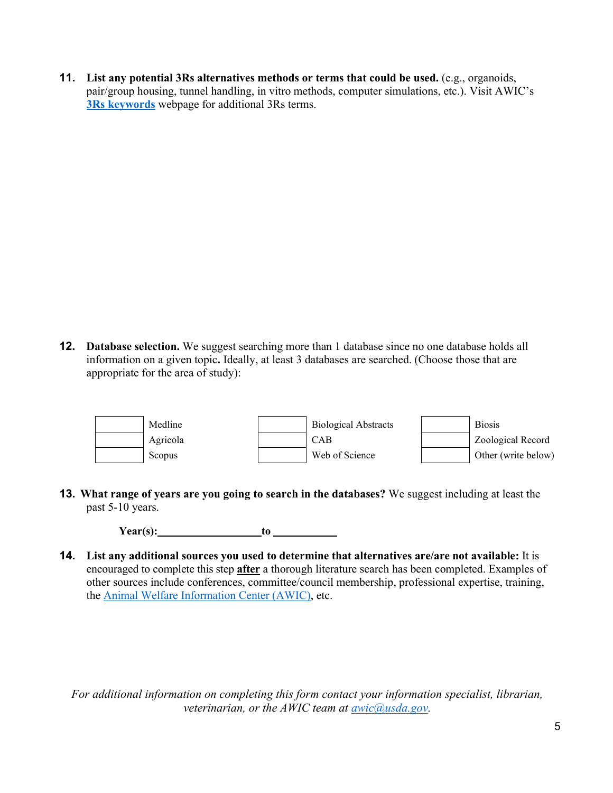**11. List any potential 3Rs alternatives methods or terms that could be used.** (e.g., organoids, pair/group housing, tunnel handling, in vitro methods, computer simulations, etc.). Visit AWIC's **[3Rs keywords](https://www.nal.usda.gov/legacy/awic/3Rs-terms-examples)** webpage for additional 3Rs terms.

**12. Database selection.** We suggest searching more than 1 database since no one database holds all information on a given topic**.** Ideally, at least 3 databases are searched. (Choose those that are appropriate for the area of study):



**13. What range of years are you going to search in the databases?** We suggest including at least the past 5-10 years.

**Year(s): to**

**14. List any additional sources you used to determine that alternatives are/are not available:** It is encouraged to complete this step **after** a thorough literature search has been completed. Examples of other sources include conferences, committee/council membership, professional expertise, training, the [Animal Welfare Information Center \(AWIC\),](https://www.nal.usda.gov/legacy/awic) etc.

*For additional information on completing this form contact your information specialist, librarian, veterinarian, or the AWIC team at [awic@usda.gov.](mailto:awic@usda.gov)*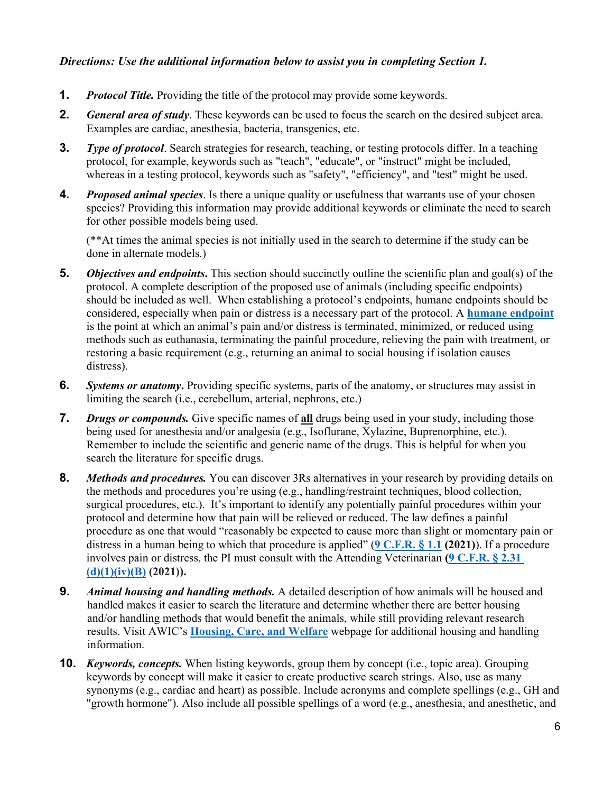#### *Directions: Use the additional information below to assist you in completing Section 1.*

- **1.** *Protocol Title.* Providing the title of the protocol may provide some keywords.
- **2.** *General area of study*. These keywords can be used to focus the search on the desired subject area. Examples are cardiac, anesthesia, bacteria, transgenics, etc.
- **3.** *Type of protocol*. Search strategies for research, teaching, or testing protocols differ. In a teaching protocol, for example, keywords such as "teach", "educate", or "instruct" might be included, whereas in a testing protocol, keywords such as "safety", "efficiency", and "test" might be used.
- **4.** *Proposed animal species*. Is there a unique quality or usefulness that warrants use of your chosen species? Providing this information may provide additional keywords or eliminate the need to search for other possible models being used.

(\*\*At times the animal species is not initially used in the search to determine if the study can be done in alternate models.)

- **5.** *Objectives and endpoints***.** This section should succinctly outline the scientific plan and goal(s) of the protocol. A complete description of the proposed use of animals (including specific endpoints) should be included as well. When establishing a protocol's endpoints, humane endpoints should be considered, especially when pain or distress is a necessary part of the protocol. A **[humane endpoint](https://www.nal.usda.gov/legacy/awic/humane-endpoints-and-euthanasia)** is the point at which an animal's pain and/or distress is terminated, minimized, or reduced using methods such as euthanasia, terminating the painful procedure, relieving the pain with treatment, or restoring a basic requirement (e.g., returning an animal to social housing if isolation causes distress).
- **6.** *Systems or anatomy***.** Providing specific systems, parts of the anatomy, or structures may assist in limiting the search (i.e., cerebellum, arterial, nephrons, etc.)
- **7.** *Drugs or compounds.* Give specific names of **all** drugs being used in your study, including those being used for anesthesia and/or analgesia (e.g., Isoflurane, Xylazine, Buprenorphine, etc.). Remember to include the scientific and generic name of the drugs. This is helpful for when you search the literature for specific drugs.
- **8.** *Methods and procedures.* You can discover 3Rs alternatives in your research by providing details on the methods and procedures you're using (e.g., handling/restraint techniques, blood collection, surgical procedures, etc.). It's important to identify any potentially painful procedures within your protocol and determine how that pain will be relieved or reduced. The law defines a painful procedure as one that would "reasonably be expected to cause more than slight or momentary pain or distress in a human being to which that procedure is applied" (**[9 C.F.R.](https://www.ecfr.gov/current/title-9/chapter-I/subchapter-A/part-1/section-1.1) § 1.1 (2021)**). If a procedure involves pain or distress, the PI must consult with the Attending Veterinarian **[\(9 C.F.R.](https://www.ecfr.gov/current/title-9/chapter-I/subchapter-A/part-2/subpart-C/section-2.31#p-2.31(d)(1)(iv)(B)) § 2.31 [\(d\)\(1\)\(iv\)\(B\)](https://www.ecfr.gov/current/title-9/chapter-I/subchapter-A/part-2/subpart-C/section-2.31#p-2.31(d)(1)(iv)(B)) (2021)).**
- **9.** *Animal housing and handling methods.* A detailed description of how animals will be housed and handled makes it easier to search the literature and determine whether there are better housing and/or handling methods that would benefit the animals, while still providing relevant research results. Visit AWIC's **[Housing, Care, and Welfare](https://www.nal.usda.gov/legacy/awic/housing-care-and-welfare)** webpage for additional housing and handling information.
- **10.** *Keywords, concepts.* When listing keywords, group them by concept (i.e., topic area). Grouping keywords by concept will make it easier to create productive search strings. Also, use as many synonyms (e.g., cardiac and heart) as possible. Include acronyms and complete spellings (e.g., GH and "growth hormone"). Also include all possible spellings of a word (e.g., anesthesia, and anesthetic, and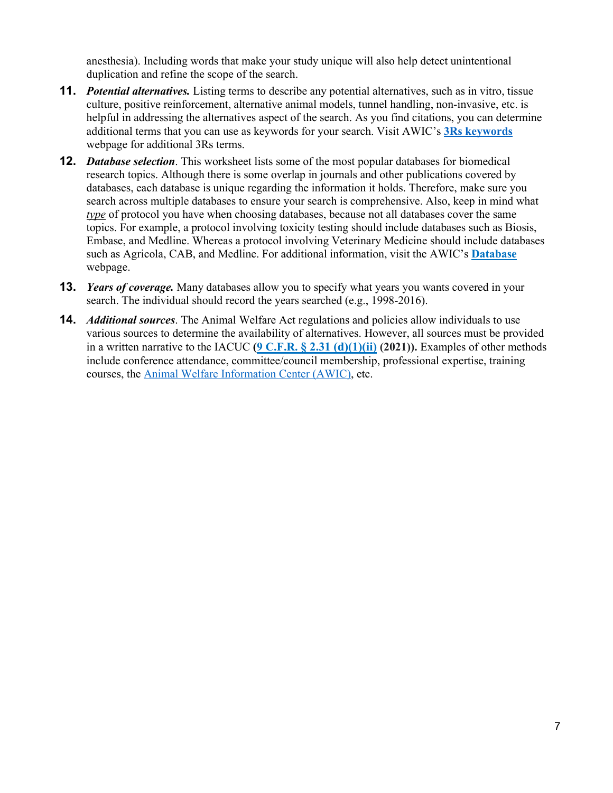anesthesia). Including words that make your study unique will also help detect unintentional duplication and refine the scope of the search.

- **11.** *Potential alternatives.* Listing terms to describe any potential alternatives, such as in vitro, tissue culture, positive reinforcement, alternative animal models, tunnel handling, non-invasive, etc. is helpful in addressing the alternatives aspect of the search. As you find citations, you can determine additional terms that you can use as keywords for your search. Visit AWIC's **[3Rs keywords](https://www.nal.usda.gov/legacy/awic/3Rs-terms-examples)** webpage for additional 3Rs terms.
- **12.** *Database selection*. This worksheet lists some of the most popular databases for biomedical research topics. Although there is some overlap in journals and other publications covered by databases, each database is unique regarding the information it holds. Therefore, make sure you search across multiple databases to ensure your search is comprehensive. Also, keep in mind what *type* of protocol you have when choosing databases, because not all databases cover the same topics. For example, a protocol involving toxicity testing should include databases such as Biosis, Embase, and Medline. Whereas a protocol involving Veterinary Medicine should include databases such as Agricola, CAB, and Medline. For additional information, visit the AWIC's **[Database](https://www.nal.usda.gov/legacy/awic/databases)** webpage.
- **13.** *Years of coverage.* Many databases allow you to specify what years you wants covered in your search. The individual should record the years searched (e.g., 1998-2016).
- **14.** *Additional sources*. The Animal Welfare Act regulations and policies allow individuals to use various sources to determine the availability of alternatives. However, all sources must be provided in a written narrative to the IACUC **[\(9 C.F.R.](https://www.ecfr.gov/current/title-9/chapter-I/subchapter-A/part-2/subpart-C/section-2.31#p-2.31(d)(1)(ii)) [§ 2.31 \(d\)\(1\)\(ii\)](https://www.ecfr.gov/current/title-9/chapter-I/subchapter-A/part-2/subpart-C/section-2.31#p-2.31(d)(1)(ii)) (2021)).** Examples of other methods include conference attendance, committee/council membership, professional expertise, training courses, the [Animal Welfare Information Center \(AWIC\),](https://www.nal.usda.gov/legacy/awic) etc.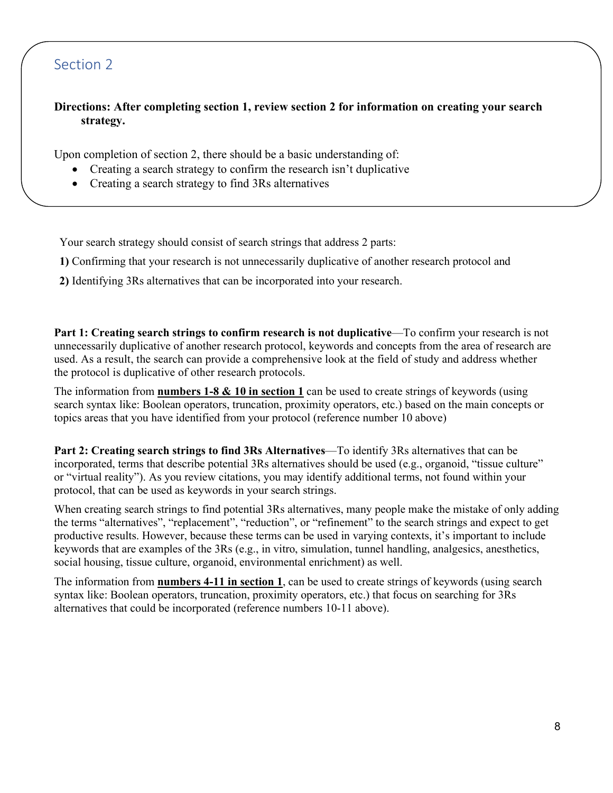## Section 2

#### **Directions: After completing section 1, review section 2 for information on creating your search strategy.**

Upon completion of section 2, there should be a basic understanding of:

- Creating a search strategy to confirm the research isn't duplicative
- Creating a search strategy to find 3Rs alternatives

Your search strategy should consist of search strings that address 2 parts:

**1)** Confirming that your research is not unnecessarily duplicative of another research protocol and

**2)** Identifying 3Rs alternatives that can be incorporated into your research.

**Part 1: Creating search strings to confirm research is not duplicative**—To confirm your research is not unnecessarily duplicative of another research protocol, keywords and concepts from the area of research are used. As a result, the search can provide a comprehensive look at the field of study and address whether the protocol is duplicative of other research protocols.

The information from **numbers 1-8 & 10 in section 1** can be used to create strings of keywords (using search syntax like: Boolean operators, truncation, proximity operators, etc.) based on the main concepts or topics areas that you have identified from your protocol (reference number 10 above)

**Part 2: Creating search strings to find 3Rs Alternatives**—To identify 3Rs alternatives that can be incorporated, terms that describe potential 3Rs alternatives should be used (e.g., organoid, "tissue culture" or "virtual reality"). As you review citations, you may identify additional terms, not found within your protocol, that can be used as keywords in your search strings.

When creating search strings to find potential 3Rs alternatives, many people make the mistake of only adding the terms "alternatives", "replacement", "reduction", or "refinement" to the search strings and expect to get productive results. However, because these terms can be used in varying contexts, it's important to include keywords that are examples of the 3Rs (e.g., in vitro, simulation, tunnel handling, analgesics, anesthetics, social housing, tissue culture, organoid, environmental enrichment) as well.

The information from **numbers 4-11 in section 1**, can be used to create strings of keywords (using search syntax like: Boolean operators, truncation, proximity operators, etc.) that focus on searching for 3Rs alternatives that could be incorporated (reference numbers 10-11 above).